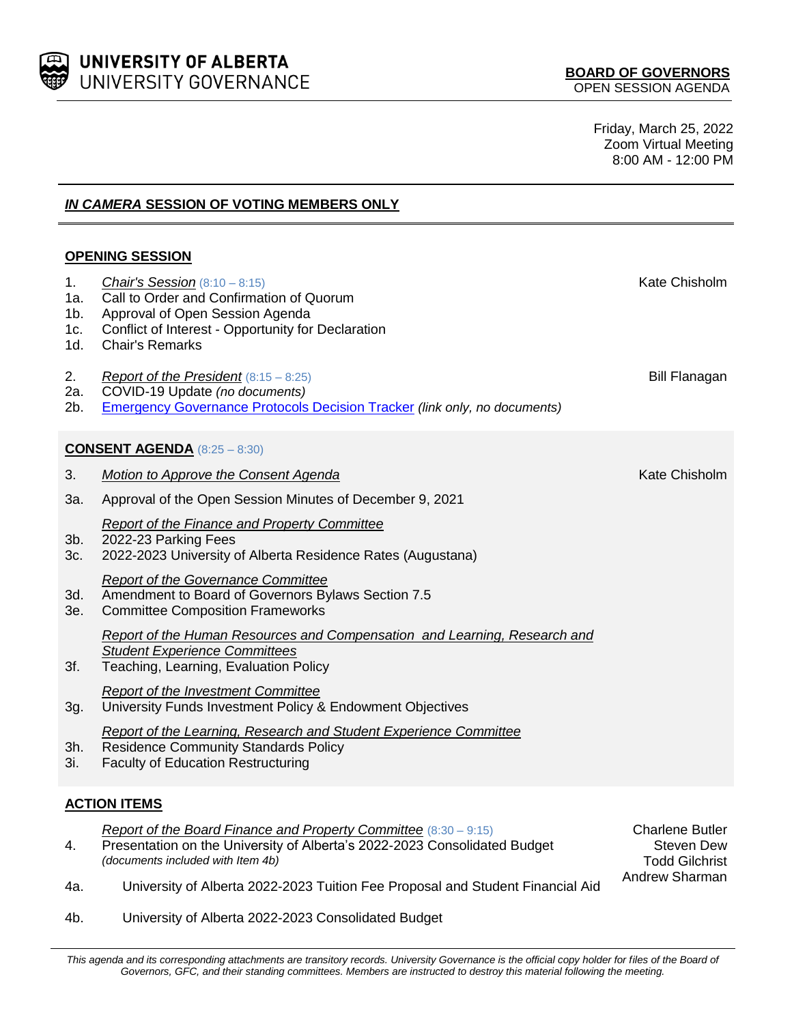

Friday, March 25, 2022 Zoom Virtual Meeting 8:00 AM - 12:00 PM

> Todd Gilchrist Andrew Sharman

*IN CAMERA* **SESSION OF VOTING MEMBERS ONLY**

## **OPENING SESSION**

| 1 <sub>1</sub><br>1a.<br>1b.<br>1c.<br>1d. | <b>Chair's Session</b> $(8:10 - 8:15)$<br>Call to Order and Confirmation of Quorum<br>Approval of Open Session Agenda<br>Conflict of Interest - Opportunity for Declaration<br><b>Chair's Remarks</b> | Kate Chisholm                        |  |
|--------------------------------------------|-------------------------------------------------------------------------------------------------------------------------------------------------------------------------------------------------------|--------------------------------------|--|
| 2.<br>2a.<br>$2b$ .                        | Report of the President $(8:15 - 8:25)$<br>COVID-19 Update (no documents)<br><b>Emergency Governance Protocols Decision Tracker (link only, no documents)</b>                                         | <b>Bill Flanagan</b>                 |  |
| <b>CONSENT AGENDA</b> $(8:25 - 8:30)$      |                                                                                                                                                                                                       |                                      |  |
| 3.                                         | Motion to Approve the Consent Agenda                                                                                                                                                                  | Kate Chisholm                        |  |
| 3а.                                        | Approval of the Open Session Minutes of December 9, 2021                                                                                                                                              |                                      |  |
| 3b.<br>3c.                                 | Report of the Finance and Property Committee<br>2022-23 Parking Fees<br>2022-2023 University of Alberta Residence Rates (Augustana)                                                                   |                                      |  |
| 3d.<br>3e.                                 | <b>Report of the Governance Committee</b><br>Amendment to Board of Governors Bylaws Section 7.5<br><b>Committee Composition Frameworks</b>                                                            |                                      |  |
| 3f.                                        | Report of the Human Resources and Compensation and Learning, Research and<br><b>Student Experience Committees</b><br>Teaching, Learning, Evaluation Policy                                            |                                      |  |
| 3g.                                        | <b>Report of the Investment Committee</b><br>University Funds Investment Policy & Endowment Objectives                                                                                                |                                      |  |
| 3h.<br>3i.                                 | Report of the Learning, Research and Student Experience Committee<br><b>Residence Community Standards Policy</b><br><b>Faculty of Education Restructuring</b>                                         |                                      |  |
| <b>ACTION ITEMS</b>                        |                                                                                                                                                                                                       |                                      |  |
| 4.                                         | Report of the Board Finance and Property Committee (8:30 - 9:15)<br>Presentation on the University of Alberta's 2022-2023 Consolidated Budget                                                         | <b>Charlene Butler</b><br>Steven Dew |  |

4a. University of Alberta 2022-2023 Tuition Fee Proposal and Student Financial Aid

4b. University of Alberta 2022-2023 Consolidated Budget

*(documents included with Item 4b)*

This agenda and its corresponding attachments are transitory records. University Governance is the official copy holder for files of the Board of *Governors, GFC, and their standing committees. Members are instructed to destroy this material following the meeting.*